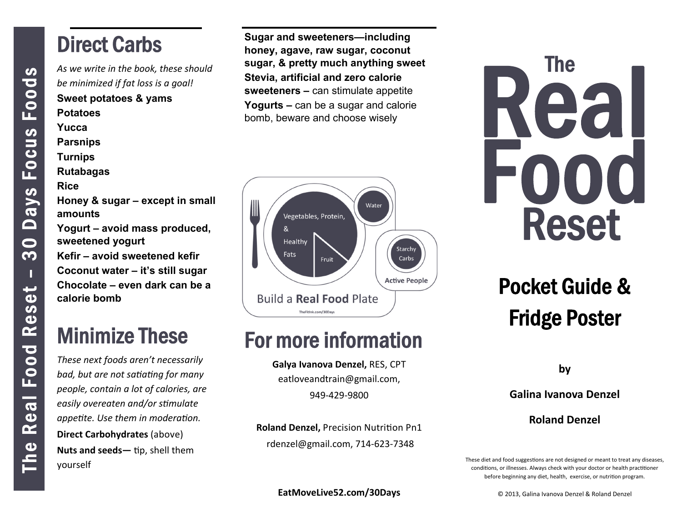#### Direct Carbs

*As we write in the book, these should be minimized if fat loss is a goal!*  **Sweet potatoes & yams Potatoes Yucca Parsnips Turnips Rutabagas Rice Honey & sugar – except in small** 

**amounts Yogurt – avoid mass produced, sweetened yogurt** 

**Kefir – avoid sweetened kefir Coconut water – it's still sugar Chocolate – even dark can be a calorie bomb** 

# Minimize These

*These next foods aren't necessarily bad, but are not saƟaƟng for many people, contain a lot of calories, are easily overeaten and/or sƟmulate appeƟte. Use them in moderaƟon.*  **Direct Carbohydrates** (above) **Nuts and seeds—** tip, shell them yourself

**Sugar and sweeteners—including honey, agave, raw sugar, coconut sugar, & pretty much anything sweet Stevia, artificial and zero calorie sweeteners –** can stimulate appetite **Yogurts –** can be a sugar and calorie bomb, beware and choose wisely



## For more information

**Galya Ivanova Denzel,** RES, CPT eatloveandtrain@gmail.com, 949‐429‐9800

**Roland Denzel, Precision Nutrition Pn1** rdenzel@gmail.com, 714‐623‐7348

# Real Food Reset The

# Pocket Guide & Fridge Poster

**by** 

**Galina Ivanova Denzel** 

**Roland Denzel** 

These diet and food suggestions are not designed or meant to treat any diseases, conditions, or illnesses. Always check with your doctor or health practitioner before beginning any diet, health, exercise, or nutrition program.

**EatMoveLive52.com/30Days**